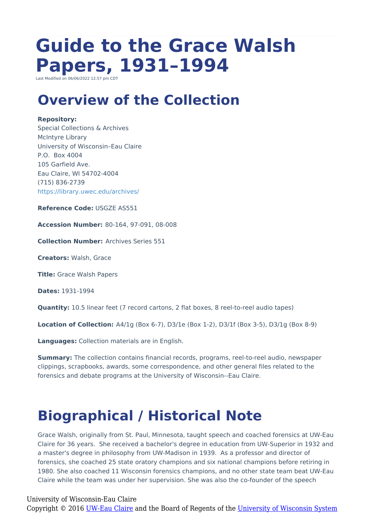# **Guide to the Grace Walsh Papers, 1931–1994**

Last Modified on  $06/06/2022$  12:57 pm CD

## **Overview of the Collection**

#### **Repository:**

Special Collections & Archives McIntyre Library University of Wisconsin–Eau Claire P.O. Box 4004 105 Garfield Ave. Eau Claire, WI 54702-4004 (715) 836-2739 <https://library.uwec.edu/archives/>

**Reference Code:** USGZE AS551

**Accession Number:** 80-164, 97-091, 08-008

**Collection Number:** Archives Series 551

**Creators:** Walsh, Grace

**Title:** Grace Walsh Papers

**Dates:** 1931-1994

**Quantity:** 10.5 linear feet (7 record cartons, 2 flat boxes, 8 reel-to-reel audio tapes)

**Location of Collection:** A4/1g (Box 6-7), D3/1e (Box 1-2), D3/1f (Box 3-5), D3/1g (Box 8-9)

**Languages:** Collection materials are in English.

**Summary:** The collection contains financial records, programs, reel-to-reel audio, newspaper clippings, scrapbooks, awards, some correspondence, and other general files related to the forensics and debate programs at the University of Wisconsin--Eau Claire.

# **Biographical / Historical Note**

Grace Walsh, originally from St. Paul, Minnesota, taught speech and coached forensics at UW-Eau Claire for 36 years. She received a bachelor's degree in education from UW-Superior in 1932 and a master's degree in philosophy from UW-Madison in 1939. As a professor and director of forensics, she coached 25 state oratory champions and six national champions before retiring in 1980. She also coached 11 Wisconsin forensics champions, and no other state team beat UW-Eau Claire while the team was under her supervision. She was also the co-founder of the speech

University of Wisconsin-Eau Claire Copyright © 2016 [UW-Eau Claire](http://www.uwec.edu) and the Board of Regents of the [University of Wisconsin System](http://www.uwsa.edu/)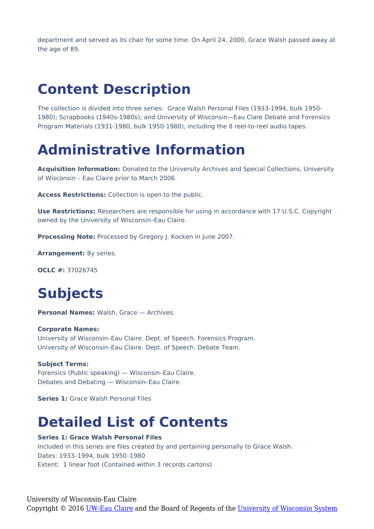department and served as its chair for some time. On April 24, 2000, Grace Walsh passed away at the age of 89.

# **Content Description**

The collection is divided into three series: Grace Walsh Personal Files (1933-1994, bulk 1950- 1980); Scrapbooks (1940s-1980s); and University of Wisconsin-Eau Clare Debate and Forensics Program Materials (1931-1980, bulk 1950-1980), including the 8 reel-to-reel audio tapes.

## **Administrative Information**

**Acquisition Information:** Donated to the University Archives and Special Collections, University of Wisconsin – Eau Claire prior to March 2006.

**Access Restrictions:** Collection is open to the public.

**Use Restrictions:** Researchers are responsible for using in accordance with 17 U.S.C. Copyright owned by the University of Wisconsin–Eau Claire.

**Processing Note:** Processed by Gregory J. Kocken in June 2007.

**Arrangement:** By series.

**OCLC #:** 37026745

# **Subjects**

**Personal Names:** Walsh, Grace — Archives.

#### **Corporate Names:**

University of Wisconsin–Eau Claire. Dept. of Speech. Forensics Program. University of Wisconsin–Eau Claire. Dept. of Speech. Debate Team.

#### **Subject Terms:**

Forensics (Public speaking) — Wisconsin–Eau Claire. Debates and Debating — Wisconsin–Eau Claire.

**Series 1:** Grace Walsh Personal Files

### **Detailed List of Contents**

#### **Series 1: Grace Walsh Personal Files**

Included in this series are files created by and pertaining personally to Grace Walsh. Dates: 1933–1994, bulk 1950–1980 Extent: 1 linear foot (Contained within 3 records cartons)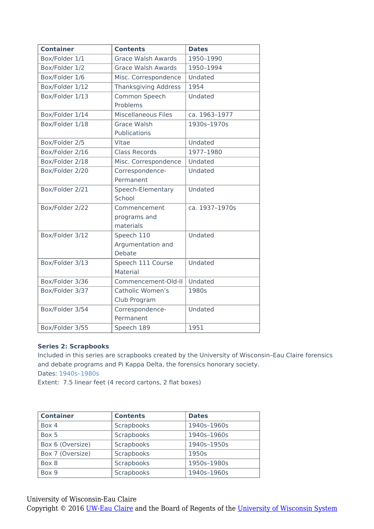| <b>Container</b> | <b>Contents</b>             | <b>Dates</b>   |
|------------------|-----------------------------|----------------|
| Box/Folder 1/1   | <b>Grace Walsh Awards</b>   | 1950-1990      |
| Box/Folder 1/2   | <b>Grace Walsh Awards</b>   | 1950-1994      |
| Box/Folder 1/6   | Misc. Correspondence        | Undated        |
| Box/Folder 1/12  | <b>Thanksgiving Address</b> | 1954           |
| Box/Folder 1/13  | Common Speech               | Undated        |
|                  | Problems                    |                |
| Box/Folder 1/14  | <b>Miscellaneous Files</b>  | ca. 1963-1977  |
| Box/Folder 1/18  | <b>Grace Walsh</b>          | 1930s-1970s    |
|                  | Publications                |                |
| Box/Folder 2/5   | Vitae                       | Undated        |
| Box/Folder 2/16  | <b>Class Records</b>        | 1977-1980      |
| Box/Folder 2/18  | Misc. Correspondence        | Undated        |
| Box/Folder 2/20  | Correspondence-             | Undated        |
|                  | Permanent                   |                |
| Box/Folder 2/21  | Speech-Elementary           | Undated        |
|                  | School                      |                |
| Box/Folder 2/22  | Commencement                | ca. 1937-1970s |
|                  | programs and                |                |
|                  | materials                   |                |
| Box/Folder 3/12  | Speech 110                  | Undated        |
|                  | Argumentation and           |                |
|                  | Debate                      |                |
| Box/Folder 3/13  | Speech 111 Course           | Undated        |
|                  | Material                    |                |
| Box/Folder 3/36  | Commencement-Old-II         | Undated        |
| Box/Folder 3/37  | Catholic Women's            | 1980s          |
|                  | Club Program                |                |
| Box/Folder 3/54  | Correspondence-             | Undated        |
|                  | Permanent                   |                |
| Box/Folder 3/55  | Speech 189                  | 1951           |

#### **Series 2: Scrapbooks**

Included in this series are scrapbooks created by the University of Wisconsin–Eau Claire forensics and debate programs and Pi Kappa Delta, the forensics honorary society. Dates: 1940s–1980s

Extent: 7.5 linear feet (4 record cartons, 2 flat boxes)

| <b>Container</b> | <b>Contents</b> | <b>Dates</b> |
|------------------|-----------------|--------------|
| Box 4            | Scrapbooks      | 1940s-1960s  |
| Box 5            | Scrapbooks      | 1940s-1960s  |
| Box 6 (Oversize) | Scrapbooks      | 1940s-1950s  |
| Box 7 (Oversize) | Scrapbooks      | 1950s        |
| Box 8            | Scrapbooks      | 1950s-1980s  |
| Box 9            | Scrapbooks      | 1940s-1960s  |

University of Wisconsin-Eau Claire

Copyright © 2016 <u>UW-Eau Claire</u> and the Board of Regents of the [University of Wisconsin System](http://www.uwsa.edu/)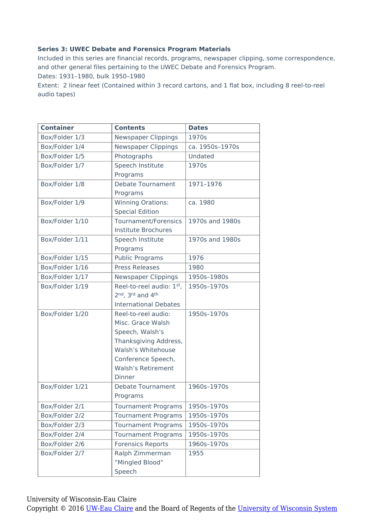#### **Series 3: UWEC Debate and Forensics Program Materials**

Included in this series are financial records, programs, newspaper clipping, some correspondence, and other general files pertaining to the UWEC Debate and Forensics Program.

Dates: 1931–1980, bulk 1950–1980

Extent: 2 linear feet (Contained within 3 record cartons, and 1 flat box, including 8 reel-to-reel audio tapes)

| <b>Container</b> | <b>Contents</b>              | <b>Dates</b>    |
|------------------|------------------------------|-----------------|
| Box/Folder 1/3   | Newspaper Clippings          | 1970s           |
| Box/Folder 1/4   | <b>Newspaper Clippings</b>   | ca. 1950s-1970s |
| Box/Folder 1/5   | Photographs                  | Undated         |
| Box/Folder 1/7   | Speech Institute             | 1970s           |
|                  | Programs                     |                 |
| Box/Folder 1/8   | <b>Debate Tournament</b>     | 1971-1976       |
|                  | Programs                     |                 |
| Box/Folder 1/9   | <b>Winning Orations:</b>     | ca. 1980        |
|                  | <b>Special Edition</b>       |                 |
| Box/Folder 1/10  | Tournament/Forensics         | 1970s and 1980s |
|                  | Institute Brochures          |                 |
| Box/Folder 1/11  | Speech Institute             | 1970s and 1980s |
|                  | Programs                     |                 |
| Box/Folder 1/15  | <b>Public Programs</b>       | 1976            |
| Box/Folder 1/16  | <b>Press Releases</b>        | 1980            |
| Box/Folder 1/17  | <b>Newspaper Clippings</b>   | 1950s-1980s     |
| Box/Folder 1/19  | Reel-to-reel audio: 1st,     | 1950s-1970s     |
|                  | 2nd, 3rd and 4th             |                 |
|                  | <b>International Debates</b> |                 |
| Box/Folder 1/20  | Reel-to-reel audio:          | 1950s-1970s     |
|                  | Misc. Grace Walsh            |                 |
|                  | Speech, Walsh's              |                 |
|                  | Thanksgiving Address,        |                 |
|                  | Walsh's Whitehouse           |                 |
|                  | Conference Speech,           |                 |
|                  | <b>Walsh's Retirement</b>    |                 |
|                  | Dinner                       |                 |
| Box/Folder 1/21  | <b>Debate Tournament</b>     | 1960s-1970s     |
|                  | Programs                     |                 |
| Box/Folder 2/1   | Tournament Programs          | 1950s-1970s     |
| Box/Folder 2/2   | <b>Tournament Programs</b>   | 1950s-1970s     |
| Box/Folder 2/3   | <b>Tournament Programs</b>   | 1950s-1970s     |
| Box/Folder 2/4   | <b>Tournament Programs</b>   | 1950s-1970s     |
| Box/Folder 2/6   | <b>Forensics Reports</b>     | 1960s-1970s     |
| Box/Folder 2/7   | Ralph Zimmerman              | 1955            |
|                  | "Mingled Blood"              |                 |
|                  | Speech                       |                 |

University of Wisconsin-Eau Claire

Copyright © 2016 [UW-Eau Claire](http://www.uwec.edu) and the Board of Regents of the [University of Wisconsin System](http://www.uwsa.edu/)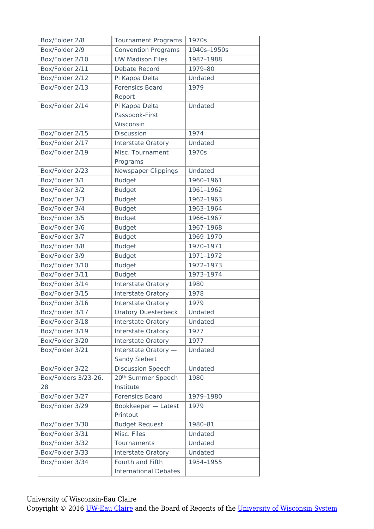| Box/Folder 2/8       | <b>Tournament Programs</b>     | 1970s       |
|----------------------|--------------------------------|-------------|
| Box/Folder 2/9       | <b>Convention Programs</b>     | 1940s-1950s |
| Box/Folder 2/10      | <b>UW Madison Files</b>        | 1987-1988   |
| Box/Folder 2/11      | <b>Debate Record</b>           | 1979-80     |
| Box/Folder 2/12      | Pi Kappa Delta                 | Undated     |
| Box/Folder 2/13      | <b>Forensics Board</b>         | 1979        |
|                      | Report                         |             |
| Box/Folder 2/14      | Pi Kappa Delta                 | Undated     |
|                      | Passbook-First                 |             |
|                      | Wisconsin                      |             |
| Box/Folder 2/15      | <b>Discussion</b>              | 1974        |
| Box/Folder 2/17      | <b>Interstate Oratory</b>      | Undated     |
| Box/Folder 2/19      | Misc. Tournament               | 1970s       |
|                      | Programs                       |             |
| Box/Folder 2/23      | <b>Newspaper Clippings</b>     | Undated     |
| Box/Folder 3/1       | <b>Budget</b>                  | 1960-1961   |
| Box/Folder 3/2       | <b>Budget</b>                  | 1961-1962   |
| Box/Folder 3/3       | <b>Budget</b>                  | 1962-1963   |
| Box/Folder 3/4       | <b>Budget</b>                  | 1963-1964   |
| Box/Folder 3/5       | <b>Budget</b>                  | 1966-1967   |
| Box/Folder 3/6       | <b>Budget</b>                  | 1967-1968   |
| Box/Folder 3/7       | <b>Budget</b>                  | 1969-1970   |
| Box/Folder 3/8       | <b>Budget</b>                  | 1970-1971   |
| Box/Folder 3/9       | <b>Budget</b>                  | 1971-1972   |
| Box/Folder 3/10      | <b>Budget</b>                  | 1972-1973   |
| Box/Folder 3/11      | <b>Budget</b>                  | 1973-1974   |
| Box/Folder 3/14      | Interstate Oratory             | 1980        |
| Box/Folder 3/15      | Interstate Oratory             | 1978        |
| Box/Folder 3/16      | Interstate Oratory             | 1979        |
| Box/Folder 3/17      | <b>Oratory Duesterbeck</b>     | Undated     |
| Box/Folder 3/18      | <b>Interstate Oratory</b>      | Undated     |
| Box/Folder 3/19      | Interstate Oratory             | 1977        |
| Box/Folder 3/20      | Interstate Oratory             | 1977        |
| Box/Folder 3/21      | Interstate Oratory -           | Undated     |
|                      | <b>Sandy Siebert</b>           |             |
| Box/Folder 3/22      | <b>Discussion Speech</b>       | Undated     |
| Box/Folders 3/23-26, | 20 <sup>th</sup> Summer Speech | 1980        |
| 28                   | Institute                      |             |
| Box/Folder 3/27      | <b>Forensics Board</b>         | 1979-1980   |
| Box/Folder 3/29      | Bookkeeper - Latest            | 1979        |
|                      | Printout                       |             |
| Box/Folder 3/30      | <b>Budget Request</b>          | 1980-81     |
| Box/Folder 3/31      | Misc. Files                    | Undated     |
| Box/Folder 3/32      | Tournaments                    | Undated     |
| Box/Folder 3/33      | <b>Interstate Oratory</b>      | Undated     |
| Box/Folder 3/34      | Fourth and Fifth               | 1954-1955   |
|                      | <b>International Debates</b>   |             |

University of Wisconsin-Eau Claire

Copyright © 2016 [UW-Eau Claire](http://www.uwec.edu) and the Board of Regents of the [University of Wisconsin System](http://www.uwsa.edu/)